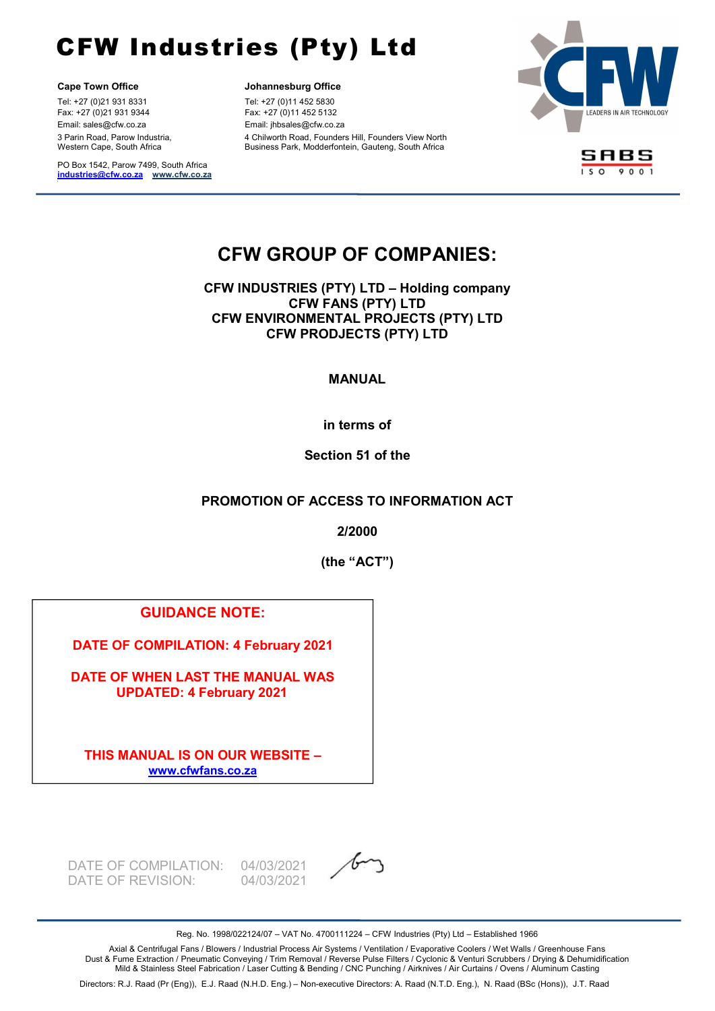l.

Tel: +27 (0)21 931 8331 Tel: +27 (0)11 452 5830 Fax: +27 (0)21 931 9344 Fax: +27 (0)11 452 5132 Email: sales@cfw.co.za Email: jhbsales@cfw.co.za 3 Parin Road, Parow Industria, Western Cape, South Africa

PO Box 1542, Parow 7499, South Africa industries@cfw.co.za www.cfw.co.za

Cape Town Office **Cape Town Office Johannesburg Office** 

4 Chilworth Road, Founders Hill, Founders View North Business Park, Modderfontein, Gauteng, South Africa



SABS  $\overline{1509001}$ 

# CFW GROUP OF COMPANIES:

CFW INDUSTRIES (PTY) LTD – Holding company CFW FANS (PTY) LTD CFW ENVIRONMENTAL PROJECTS (PTY) LTD CFW PRODJECTS (PTY) LTD

### MANUAL

in terms of

Section 51 of the

## PROMOTION OF ACCESS TO INFORMATION ACT

2/2000

(the "ACT")

## GUIDANCE NOTE:

DATE OF COMPILATION: 4 February 2021

DATE OF WHEN LAST THE MANUAL WAS UPDATED: 4 February 2021

THIS MANUAL IS ON OUR WEBSITE – www.cfwfans.co.za

DATE OF COMPILATION: 04/03/2021 DATE OF REVISION: 04/03/2021



Reg. No. 1998/022124/07 – VAT No. 4700111224 – CFW Industries (Pty) Ltd – Established 1966

Axial & Centrifugal Fans / Blowers / Industrial Process Air Systems / Ventilation / Evaporative Coolers / Wet Walls / Greenhouse Fans Dust & Fume Extraction / Pneumatic Conveying / Trim Removal / Reverse Pulse Filters / Cyclonic & Venturi Scrubbers / Drying & Dehumidification Mild & Stainless Steel Fabrication / Laser Cutting & Bending / CNC Punching / Airknives / Air Curtains / Ovens / Aluminum Casting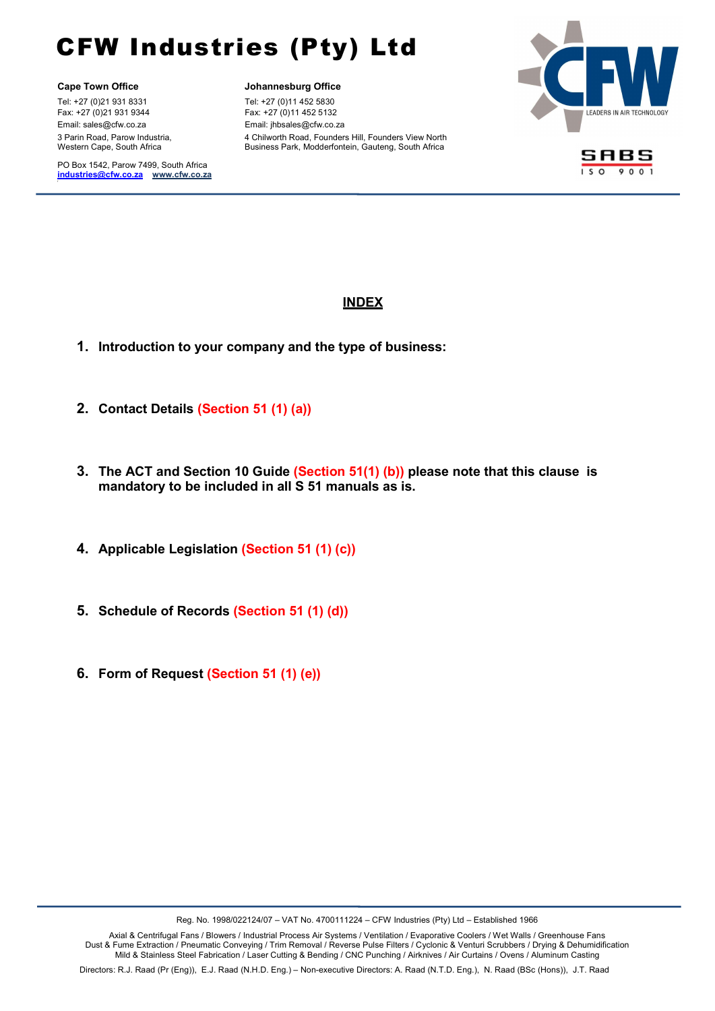l.

Tel: +27 (0)21 931 8331 Tel: +27 (0)11 452 5830 Fax: +27 (0)21 931 9344 Fax: +27 (0)11 452 5132 Email: sales@cfw.co.za Email: jhbsales@cfw.co.za 3 Parin Road, Parow Industria, Western Cape, South Africa

PO Box 1542, Parow 7499, South Africa industries@cfw.co.za www.cfw.co.za

Cape Town Office **Cape Town Office Johannesburg Office** 

4 Chilworth Road, Founders Hill, Founders View North Business Park, Modderfontein, Gauteng, South Africa





### **INDEX**

- 1. Introduction to your company and the type of business:
- 2. Contact Details (Section 51 (1) (a))
- 3. The ACT and Section 10 Guide (Section 51(1) (b)) please note that this clause is mandatory to be included in all S 51 manuals as is.
- 4. Applicable Legislation (Section 51 (1) (c))
- 5. Schedule of Records (Section 51 (1) (d))
- 6. Form of Request (Section 51 (1) (e))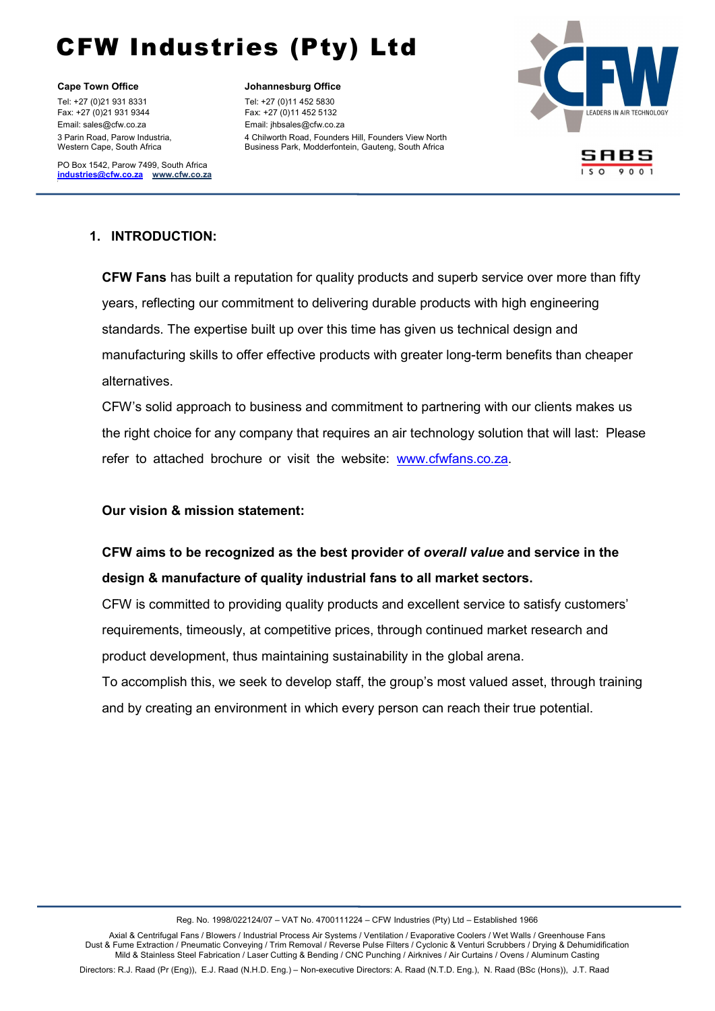Cape Town Office **Cape Town Office Johannesburg Office** Tel: +27 (0)21 931 8331 Tel: +27 (0)11 452 5830 Fax: +27 (0)21 931 9344 Fax: +27 (0)11 452 5132 Email: sales@cfw.co.za Email: jhbsales@cfw.co.za 3 Parin Road, Parow Industria, Western Cape, South Africa

l.

PO Box 1542, Parow 7499, South Africa industries@cfw.co.za www.cfw.co.za

4 Chilworth Road, Founders Hill, Founders View North Business Park, Modderfontein, Gauteng, South Africa



# SABS

# 1. INTRODUCTION:  $\overline{\phantom{a}}$

 $CENI$ **CFW Fans** has built a reputation for quality products and superb service over more than fifty years, reflecting our commitment to delivering durable products with high engineering standards. The expertise built up over this time has given us technical design and manufacturing skills to offer effective products with greater long-term benefits than cheaper alternatives.

CFW's solid approach to business and commitment to partnering with our clients makes us the right choice for any company that requires an air technology solution that will last: Please refer to attached brochure or visit the website: www.cfwfans.co.za.

Our vision & mission statement:

# CFW aims to be recognized as the best provider of overall value and service in the design & manufacture of quality industrial fans to all market sectors.

CFW is committed to providing quality products and excellent service to satisfy customers' requirements, timeously, at competitive prices, through continued market research and product development, thus maintaining sustainability in the global arena.

To accomplish this, we seek to develop staff, the group's most valued asset, through training and by creating an environment in which every person can reach their true potential.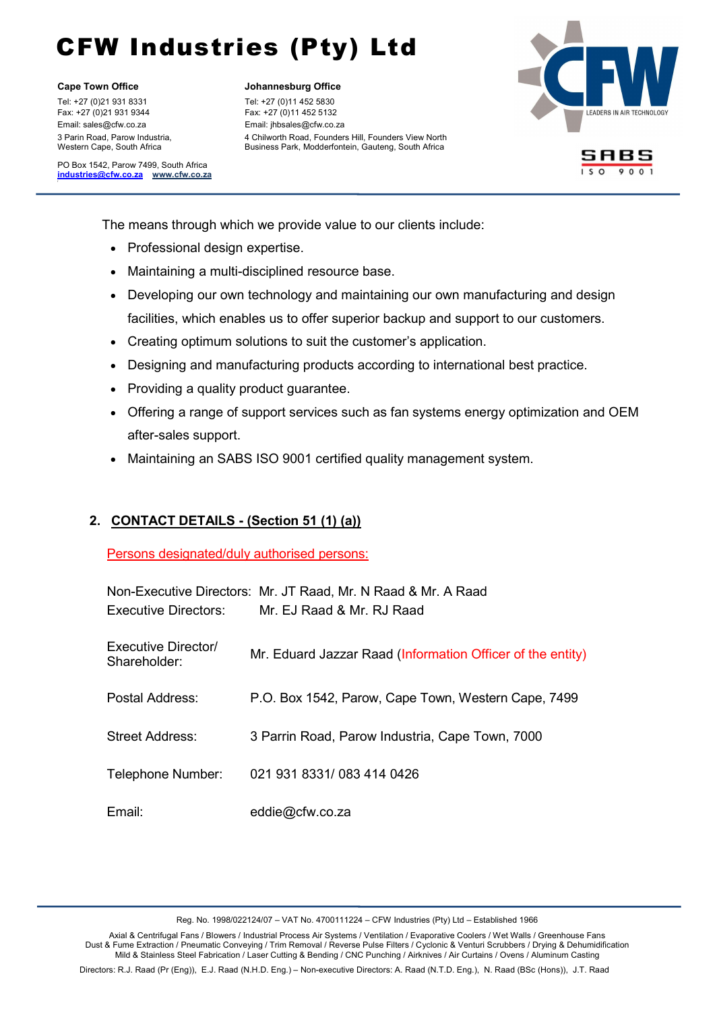l.

Tel: +27 (0)21 931 8331 Tel: +27 (0)11 452 5830 Fax: +27 (0)21 931 9344 Fax: +27 (0)11 452 5132 Email: sales@cfw.co.za Email: jhbsales@cfw.co.za 3 Parin Road, Parow Industria, Western Cape, South Africa

PO Box 1542, Parow 7499, South Africa industries@cfw.co.za www.cfw.co.za

Cape Town Office **Cape Town Office Johannesburg Office** 

4 Chilworth Road, Founders Hill, Founders View North Business Park, Modderfontein, Gauteng, South Africa



SABS

 $The m$ The means through which we provide value to our clients include:

- Professional design expertise.
- Maintaining a multi-disciplined resource base.  $\frac{1}{2}$
- Developing our own technology and maintaining our own manufacturing and design facilities, which enables us to offer superior backup and support to our customers.
	- Creating optimum solutions to suit the customer's application.
	- Designing and manufacturing products according to international best practice.
	- Providing a quality product guarantee.
	- Offering a range of support services such as fan systems energy optimization and OEM after-sales support.
	- Maintaining an SABS ISO 9001 certified quality management system.

### 2. CONTACT DETAILS - (Section 51 (1) (a))

Persons designated/duly authorised persons:

| Executive Directors:                | Non-Executive Directors: Mr. JT Raad, Mr. N Raad & Mr. A Raad<br>Mr. EJ Raad & Mr. RJ Raad |
|-------------------------------------|--------------------------------------------------------------------------------------------|
| Executive Director/<br>Shareholder: | Mr. Eduard Jazzar Raad (Information Officer of the entity)                                 |
| Postal Address:                     | P.O. Box 1542, Parow, Cape Town, Western Cape, 7499                                        |
| <b>Street Address:</b>              | 3 Parrin Road, Parow Industria, Cape Town, 7000                                            |
| Telephone Number:                   | 021 931 8331/083 414 0426                                                                  |
| Email:                              | eddie@cfw.co.za                                                                            |

Axial & Centrifugal Fans / Blowers / Industrial Process Air Systems / Ventilation / Evaporative Coolers / Wet Walls / Greenhouse Fans Dust & Fume Extraction / Pneumatic Conveying / Trim Removal / Reverse Pulse Filters / Cyclonic & Venturi Scrubbers / Drying & Dehumidification Mild & Stainless Steel Fabrication / Laser Cutting & Bending / CNC Punching / Airknives / Air Curtains / Ovens / Aluminum Casting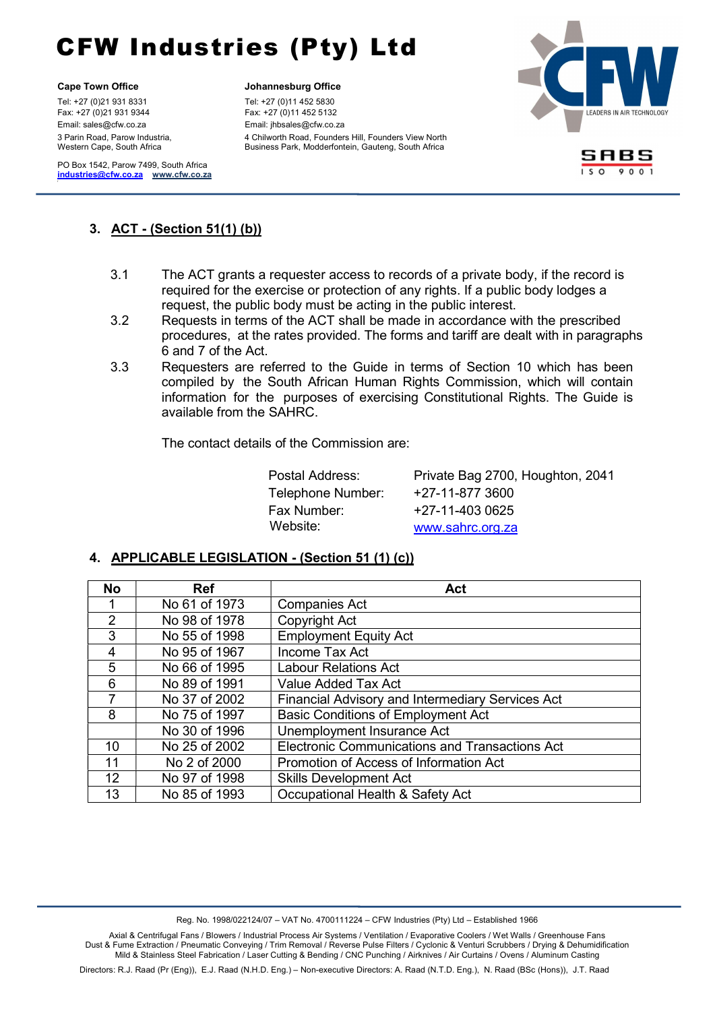l.

Tel: +27 (0)21 931 8331 Tel: +27 (0)11 452 5830 Fax: +27 (0)21 931 9344 Fax: +27 (0)11 452 5132 Email: sales@cfw.co.za Email: jhbsales@cfw.co.za 3 Parin Road, Parow Industria, Western Cape, South Africa

PO Box 1542, Parow 7499, South Africa industries@cfw.co.za www.cfw.co.za

### Cape Town Office **Cape Town Office Johannesburg Office**

4 Chilworth Road, Founders Hill, Founders View North Business Park, Modderfontein, Gauteng, South Africa



SABS  $\sqrt{150.001}$ 

# $\overline{3}$   $\overline{1}$ 3. ACT - (Section 51(1) (b))

- $3.1$  $3.1$ The ACT grants a requester access to records of a private body, if the record is required for the exercise or protection of any rights. If a public body lodges a request, the public body must be acting in the public interest.
	- 3.2 Requests in terms of the ACT shall be made in accordance with the prescribed procedures, at the rates provided. The forms and tariff are dealt with in paragraphs 6 and 7 of the Act.
	- 3.3 Requesters are referred to the Guide in terms of Section 10 which has been compiled by the South African Human Rights Commission, which will contain information for the purposes of exercising Constitutional Rights. The Guide is available from the SAHRC.

The contact details of the Commission are:

| Postal Address:   | Private Bag 2700, Houghton, 2041 |
|-------------------|----------------------------------|
| Telephone Number: | +27-11-877 3600                  |
| Fax Number:       | +27-11-403 0625                  |
| Website:          | www.sahrc.org.za                 |

### 4. APPLICABLE LEGISLATION - (Section 51 (1) (c))

| <b>No</b>         | <b>Ref</b>    | Act                                                     |  |  |
|-------------------|---------------|---------------------------------------------------------|--|--|
|                   | No 61 of 1973 | <b>Companies Act</b>                                    |  |  |
| $\overline{2}$    | No 98 of 1978 | Copyright Act                                           |  |  |
| 3                 | No 55 of 1998 | <b>Employment Equity Act</b>                            |  |  |
| 4                 | No 95 of 1967 | Income Tax Act                                          |  |  |
| 5                 | No 66 of 1995 | <b>Labour Relations Act</b>                             |  |  |
| 6                 | No 89 of 1991 | Value Added Tax Act                                     |  |  |
| 7                 | No 37 of 2002 | <b>Financial Advisory and Intermediary Services Act</b> |  |  |
| 8                 | No 75 of 1997 | <b>Basic Conditions of Employment Act</b>               |  |  |
|                   | No 30 of 1996 | Unemployment Insurance Act                              |  |  |
| 10                | No 25 of 2002 | <b>Electronic Communications and Transactions Act</b>   |  |  |
| 11                | No 2 of 2000  | Promotion of Access of Information Act                  |  |  |
| $12 \overline{ }$ | No 97 of 1998 | <b>Skills Development Act</b>                           |  |  |
| 13                | No 85 of 1993 | Occupational Health & Safety Act                        |  |  |

Reg. No. 1998/022124/07 – VAT No. 4700111224 – CFW Industries (Pty) Ltd – Established 1966

Axial & Centrifugal Fans / Blowers / Industrial Process Air Systems / Ventilation / Evaporative Coolers / Wet Walls / Greenhouse Fans Dust & Fume Extraction / Pneumatic Conveying / Trim Removal / Reverse Pulse Filters / Cyclonic & Venturi Scrubbers / Drying & Dehumidification Mild & Stainless Steel Fabrication / Laser Cutting & Bending / CNC Punching / Airknives / Air Curtains / Ovens / Aluminum Casting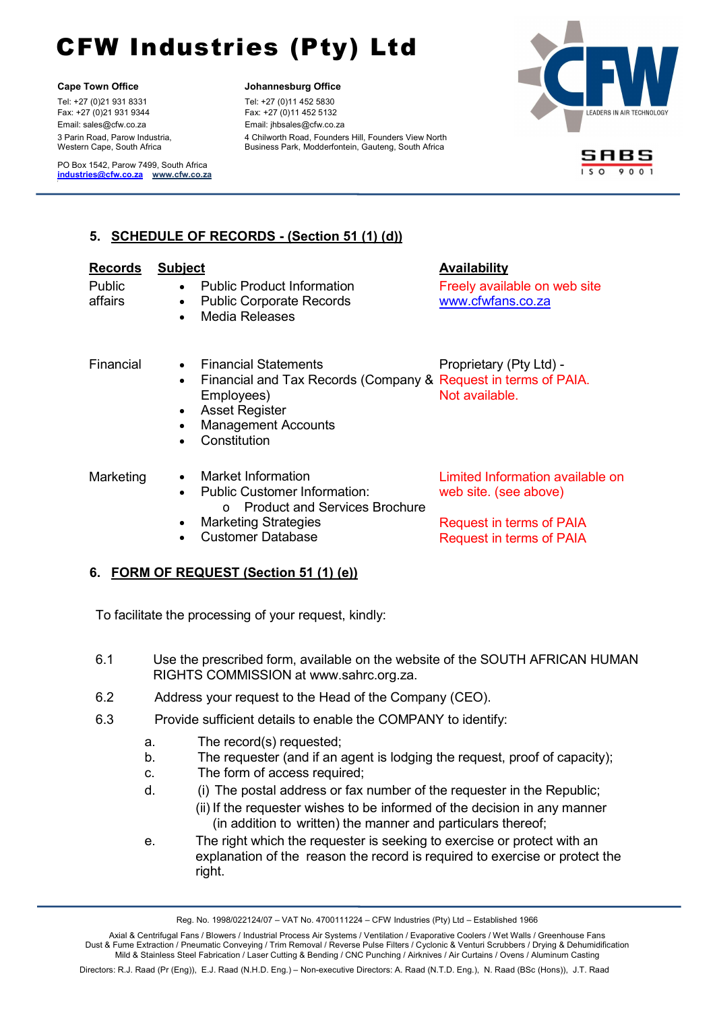l.

Tel: +27 (0)21 931 8331 Tel: +27 (0)11 452 5830 Fax: +27 (0)21 931 9344 Fax: +27 (0)11 452 5132 Email: sales@cfw.co.za Email: jhbsales@cfw.co.za 3 Parin Road, Parow Industria, Western Cape, South Africa

PO Box 1542, Parow 7499, South Africa industries@cfw.co.za www.cfw.co.za

### Cape Town Office **Cape Town Office Johannesburg Office**

4 Chilworth Road, Founders Hill, Founders View North Business Park, Modderfontein, Gauteng, South Africa





# 5. SCHEDULE OF RECORDS - (Section 51 (1) (d))  $\frac{1}{2}$

| <b>Records</b><br><b>Public</b><br>affairs | <b>Subject</b><br>$\bullet$<br>$\bullet$ | <b>Public Product Information</b><br><b>Public Corporate Records</b><br><b>Media Releases</b>                                                                               | <b>Availability</b><br>Freely available on web site<br>www.cfwfans.co.za                                                 |
|--------------------------------------------|------------------------------------------|-----------------------------------------------------------------------------------------------------------------------------------------------------------------------------|--------------------------------------------------------------------------------------------------------------------------|
| Financial                                  | $\bullet$<br>$\bullet$<br>$\bullet$      | Financial Statements<br>Financial and Tax Records (Company & Request in terms of PAIA.<br>Employees)<br><b>Asset Register</b><br><b>Management Accounts</b><br>Constitution | Proprietary (Pty Ltd) -<br>Not available.                                                                                |
| Marketing                                  |                                          | Market Information<br><b>Public Customer Information:</b><br><b>Product and Services Brochure</b><br>$\Omega$<br><b>Marketing Strategies</b><br><b>Customer Database</b>    | Limited Information available on<br>web site. (see above)<br>Request in terms of PAIA<br><b>Request in terms of PAIA</b> |

### 6. FORM OF REQUEST (Section 51 (1) (e))

To facilitate the processing of your request, kindly:

- 6.1 Use the prescribed form, available on the website of the SOUTH AFRICAN HUMAN RIGHTS COMMISSION at www.sahrc.org.za.
- 6.2 Address your request to the Head of the Company (CEO).
- 6.3 Provide sufficient details to enable the COMPANY to identify:
	- a. The record(s) requested;
	- b. The requester (and if an agent is lodging the request, proof of capacity);
	- c. The form of access required;
	- d. (i) The postal address or fax number of the requester in the Republic;
		- (ii) If the requester wishes to be informed of the decision in any manner (in addition to written) the manner and particulars thereof;
	- e. The right which the requester is seeking to exercise or protect with an explanation of the reason the record is required to exercise or protect the right.